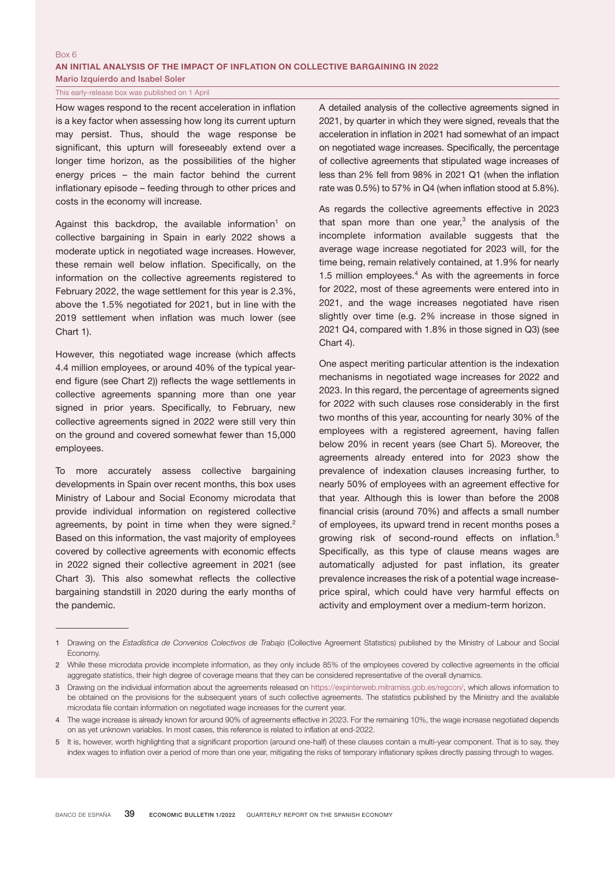## Box 6

AN INITIAL ANALYSIS OF THE IMPACT OF INFLATION ON COLLECTIVE BARGAINING IN 2022 Mario Izquierdo and Isabel Soler

## This early-release box was published on 1 April

How wages respond to the recent acceleration in inflation is a key factor when assessing how long its current upturn may persist. Thus, should the wage response be significant, this upturn will foreseeably extend over a longer time horizon, as the possibilities of the higher energy prices – the main factor behind the current inflationary episode – feeding through to other prices and costs in the economy will increase.

Against this backdrop, the available information<sup>1</sup> on collective bargaining in Spain in early 2022 shows a moderate uptick in negotiated wage increases. However, these remain well below inflation. Specifically, on the information on the collective agreements registered to February 2022, the wage settlement for this year is 2.3%, above the 1.5% negotiated for 2021, but in line with the 2019 settlement when inflation was much lower (see Chart 1).

However, this negotiated wage increase (which affects 4.4 million employees, or around 40% of the typical yearend figure (see Chart 2)) reflects the wage settlements in collective agreements spanning more than one year signed in prior years. Specifically, to February, new collective agreements signed in 2022 were still very thin on the ground and covered somewhat fewer than 15,000 employees.

To more accurately assess collective bargaining developments in Spain over recent months, this box uses Ministry of Labour and Social Economy microdata that provide individual information on registered collective agreements, by point in time when they were signed.<sup>2</sup> Based on this information, the vast majority of employees covered by collective agreements with economic effects in 2022 signed their collective agreement in 2021 (see Chart 3). This also somewhat reflects the collective bargaining standstill in 2020 during the early months of the pandemic.

A detailed analysis of the collective agreements signed in 2021, by quarter in which they were signed, reveals that the acceleration in inflation in 2021 had somewhat of an impact on negotiated wage increases. Specifically, the percentage of collective agreements that stipulated wage increases of less than 2% fell from 98% in 2021 Q1 (when the inflation rate was 0.5%) to 57% in Q4 (when inflation stood at 5.8%).

As regards the collective agreements effective in 2023 that span more than one year, $3$  the analysis of the incomplete information available suggests that the average wage increase negotiated for 2023 will, for the time being, remain relatively contained, at 1.9% for nearly 1.5 million employees. $4$  As with the agreements in force for 2022, most of these agreements were entered into in 2021, and the wage increases negotiated have risen slightly over time (e.g. 2% increase in those signed in 2021 Q4, compared with 1.8% in those signed in Q3) (see Chart 4).

One aspect meriting particular attention is the indexation mechanisms in negotiated wage increases for 2022 and 2023. In this regard, the percentage of agreements signed for 2022 with such clauses rose considerably in the first two months of this year, accounting for nearly 30% of the employees with a registered agreement, having fallen below 20% in recent years (see Chart 5). Moreover, the agreements already entered into for 2023 show the prevalence of indexation clauses increasing further, to nearly 50% of employees with an agreement effective for that year. Although this is lower than before the 2008 financial crisis (around 70%) and affects a small number of employees, its upward trend in recent months poses a growing risk of second-round effects on inflation.<sup>5</sup> Specifically, as this type of clause means wages are automatically adjusted for past inflation, its greater prevalence increases the risk of a potential wage increaseprice spiral, which could have very harmful effects on activity and employment over a medium-term horizon.

<sup>1</sup> Drawing on the *Estadística de Convenios Colectivos de Trabajo* (Collective Agreement Statistics) published by the Ministry of Labour and Social Economy.

<sup>2</sup> While these microdata provide incomplete information, as they only include 85% of the employees covered by collective agreements in the official aggregate statistics, their high degree of coverage means that they can be considered representative of the overall dynamics.

<sup>3</sup> Drawing on the individual information about the agreements released on [https://expinterweb.mitramiss.gob.es/regcon/,](https://expinterweb.mitramiss.gob.es/regcon/) which allows information to be obtained on the provisions for the subsequent years of such collective agreements. The statistics published by the Ministry and the available microdata file contain information on negotiated wage increases for the current year.

<sup>4</sup> The wage increase is already known for around 90% of agreements effective in 2023. For the remaining 10%, the wage increase negotiated depends on as yet unknown variables. In most cases, this reference is related to inflation at end-2022.

<sup>5</sup> It is, however, worth highlighting that a significant proportion (around one-half) of these clauses contain a multi-year component. That is to say, they index wages to inflation over a period of more than one year, mitigating the risks of temporary inflationary spikes directly passing through to wages.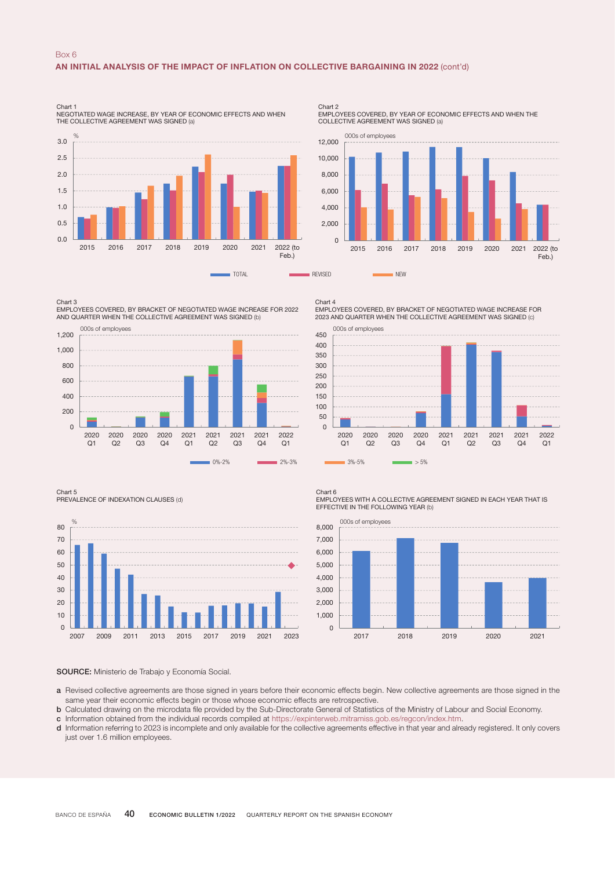

Chart 2 EMPLOYEES COVERED, BY YEAR OF ECONOMIC EFFECTS AND WHEN THE COLLECTIVE AGREEMENT WAS SIGNED (a)



Chart 3 EMPLOYEES COVERED, BY BRACKET OF NEGOTIATED WAGE INCREASE FOR 2022 AND QUARTER WHEN THE COLLECTIVE AGREEMENT WAS SIGNED (b)



Chart 4 EMPLOYEES COVERED, BY BRACKET OF NEGOTIATED WAGE INCREASE FOR 2023 AND QUARTER WHEN THE COLLECTIVE AGREEMENT WAS SIGNED (c)



Chart 5

PREVALENCE OF INDEXATION CLAUSES (d)



Chart 6

EMPLOYEES WITH A COLLECTIVE AGREEMENT SIGNED IN EACH YEAR THAT IS EFFECTIVE IN THE FOLLOWING YEAR (b)



## SOURCE: Ministerio de Trabajo y Economía Social.

- a Revised collective agreements are those signed in years before their economic effects begin. New collective agreements are those signed in the same year their economic effects begin or those whose economic effects are retrospective.
- b Calculated drawing on the microdata file provided by the Sub-Directorate General of Statistics of the Ministry of Labour and Social Economy.
- c Information obtained from the individual records compiled at https://expinterweb.mitramiss.gob.es/regcon/index.htm.
- d Information referring to 2023 is incomplete and only available for the collective agreements effective in that year and already registered. It only covers just over 1.6 million employees.